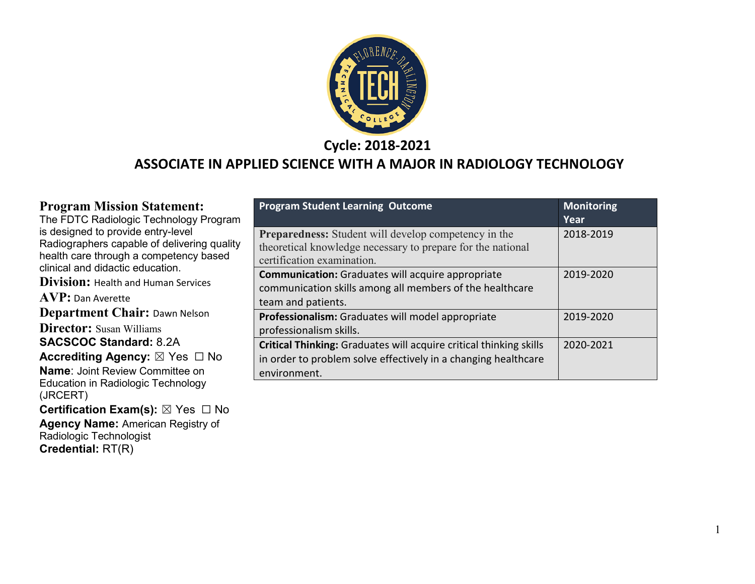

**Cycle: 2018-2021**

# **ASSOCIATE IN APPLIED SCIENCE WITH A MAJOR IN RADIOLOGY TECHNOLOGY**

| <b>Program Mission Statement:</b>                       | <b>Program Student Learning Outcome</b>                            | <b>Monitoring</b> |
|---------------------------------------------------------|--------------------------------------------------------------------|-------------------|
| The FDTC Radiologic Technology Program                  |                                                                    | Year              |
| is designed to provide entry-level                      | <b>Preparedness:</b> Student will develop competency in the        | 2018-2019         |
| Radiographers capable of delivering quality             | theoretical knowledge necessary to prepare for the national        |                   |
| health care through a competency based                  | certification examination.                                         |                   |
| clinical and didactic education.                        | <b>Communication:</b> Graduates will acquire appropriate           | 2019-2020         |
| <b>Division:</b> Health and Human Services              | communication skills among all members of the healthcare           |                   |
| <b>AVP:</b> Dan Averette                                | team and patients.                                                 |                   |
| <b>Department Chair: Dawn Nelson</b>                    | Professionalism: Graduates will model appropriate                  | 2019-2020         |
| <b>Director:</b> Susan Williams                         | professionalism skills.                                            |                   |
| <b>SACSCOC Standard: 8.2A</b>                           | Critical Thinking: Graduates will acquire critical thinking skills | 2020-2021         |
| Accrediting Agency: $\boxtimes$ Yes $\Box$ No           | in order to problem solve effectively in a changing healthcare     |                   |
| <b>Name: Joint Review Committee on</b>                  | environment.                                                       |                   |
| Education in Radiologic Technology                      |                                                                    |                   |
| (JRCERT)                                                |                                                                    |                   |
| <b>Certification Exam(s):</b> $\boxtimes$ Yes $\Box$ No |                                                                    |                   |
| <b>Agency Name: American Registry of</b>                |                                                                    |                   |
| Radiologic Technologist                                 |                                                                    |                   |

**Credential:** RT(R)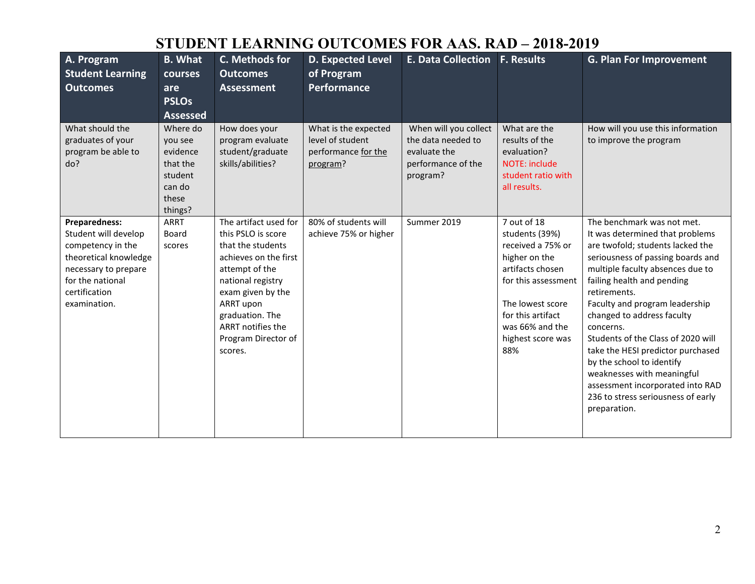# **STUDENT LEARNING OUTCOMES FOR AAS. RAD – 2018-2019**

| A. Program<br><b>Student Learning</b><br><b>Outcomes</b>                                                                                                         | <b>B.</b> What<br>courses<br>are<br><b>PSLOs</b><br><b>Assessed</b>                  | C. Methods for<br><b>Outcomes</b><br><b>Assessment</b>                                                                                                                                                                                       | <b>D. Expected Level</b><br>of Program<br><b>Performance</b>                | <b>E. Data Collection</b>                                                                     | <b>F. Results</b>                                                                                                                                                                                      | <b>G. Plan For Improvement</b>                                                                                                                                                                                                                                                                                                                                                                                                                                                                                                        |
|------------------------------------------------------------------------------------------------------------------------------------------------------------------|--------------------------------------------------------------------------------------|----------------------------------------------------------------------------------------------------------------------------------------------------------------------------------------------------------------------------------------------|-----------------------------------------------------------------------------|-----------------------------------------------------------------------------------------------|--------------------------------------------------------------------------------------------------------------------------------------------------------------------------------------------------------|---------------------------------------------------------------------------------------------------------------------------------------------------------------------------------------------------------------------------------------------------------------------------------------------------------------------------------------------------------------------------------------------------------------------------------------------------------------------------------------------------------------------------------------|
| What should the<br>graduates of your<br>program be able to<br>do?                                                                                                | Where do<br>you see<br>evidence<br>that the<br>student<br>can do<br>these<br>things? | How does your<br>program evaluate<br>student/graduate<br>skills/abilities?                                                                                                                                                                   | What is the expected<br>level of student<br>performance for the<br>program? | When will you collect<br>the data needed to<br>evaluate the<br>performance of the<br>program? | What are the<br>results of the<br>evaluation?<br><b>NOTE: include</b><br>student ratio with<br>all results.                                                                                            | How will you use this information<br>to improve the program                                                                                                                                                                                                                                                                                                                                                                                                                                                                           |
| Preparedness:<br>Student will develop<br>competency in the<br>theoretical knowledge<br>necessary to prepare<br>for the national<br>certification<br>examination. | <b>ARRT</b><br>Board<br>scores                                                       | The artifact used for<br>this PSLO is score<br>that the students<br>achieves on the first<br>attempt of the<br>national registry<br>exam given by the<br>ARRT upon<br>graduation. The<br>ARRT notifies the<br>Program Director of<br>scores. | 80% of students will<br>achieve 75% or higher                               | Summer 2019                                                                                   | 7 out of 18<br>students (39%)<br>received a 75% or<br>higher on the<br>artifacts chosen<br>for this assessment<br>The lowest score<br>for this artifact<br>was 66% and the<br>highest score was<br>88% | The benchmark was not met.<br>It was determined that problems<br>are twofold; students lacked the<br>seriousness of passing boards and<br>multiple faculty absences due to<br>failing health and pending<br>retirements.<br>Faculty and program leadership<br>changed to address faculty<br>concerns.<br>Students of the Class of 2020 will<br>take the HESI predictor purchased<br>by the school to identify<br>weaknesses with meaningful<br>assessment incorporated into RAD<br>236 to stress seriousness of early<br>preparation. |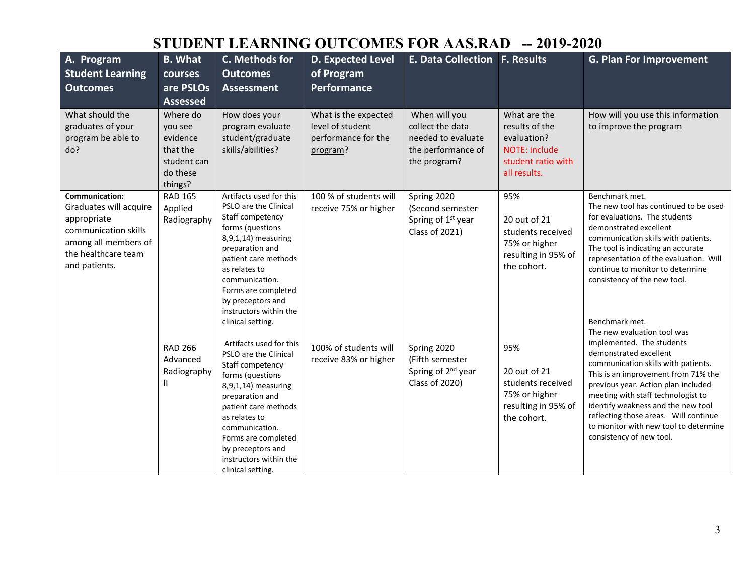# **STUDENT LEARNING OUTCOMES FOR AAS.RAD -- 2019-2020**

| A. Program<br><b>Student Learning</b><br><b>Outcomes</b>                                                                                               | <b>B.</b> What<br>courses<br>are PSLOs<br><b>Assessed</b>                         | C. Methods for<br><b>Outcomes</b><br><b>Assessment</b>                                                                                                                                                                                                                                   | <b>D. Expected Level</b><br>of Program<br>Performance                       | <b>E. Data Collection F. Results</b>                                                          |                                                                                                      | <b>G. Plan For Improvement</b>                                                                                                                                                                                                                                                                                                                                     |
|--------------------------------------------------------------------------------------------------------------------------------------------------------|-----------------------------------------------------------------------------------|------------------------------------------------------------------------------------------------------------------------------------------------------------------------------------------------------------------------------------------------------------------------------------------|-----------------------------------------------------------------------------|-----------------------------------------------------------------------------------------------|------------------------------------------------------------------------------------------------------|--------------------------------------------------------------------------------------------------------------------------------------------------------------------------------------------------------------------------------------------------------------------------------------------------------------------------------------------------------------------|
| What should the<br>graduates of your<br>program be able to<br>do?                                                                                      | Where do<br>you see<br>evidence<br>that the<br>student can<br>do these<br>things? | How does your<br>program evaluate<br>student/graduate<br>skills/abilities?                                                                                                                                                                                                               | What is the expected<br>level of student<br>performance for the<br>program? | When will you<br>collect the data<br>needed to evaluate<br>the performance of<br>the program? | What are the<br>results of the<br>evaluation?<br>NOTE: include<br>student ratio with<br>all results. | How will you use this information<br>to improve the program                                                                                                                                                                                                                                                                                                        |
| <b>Communication:</b><br>Graduates will acquire<br>appropriate<br>communication skills<br>among all members of<br>the healthcare team<br>and patients. | <b>RAD 165</b><br>Applied<br>Radiography                                          | Artifacts used for this<br>PSLO are the Clinical<br>Staff competency<br>forms (questions<br>8,9,1,14) measuring<br>preparation and<br>patient care methods<br>as relates to<br>communication.<br>Forms are completed<br>by preceptors and<br>instructors within the<br>clinical setting. | 100 % of students will<br>receive 75% or higher                             | Spring 2020<br>(Second semester<br>Spring of 1 <sup>st</sup> year<br><b>Class of 2021)</b>    | 95%<br>20 out of 21<br>students received<br>75% or higher<br>resulting in 95% of<br>the cohort.      | Benchmark met.<br>The new tool has continued to be used<br>for evaluations. The students<br>demonstrated excellent<br>communication skills with patients.<br>The tool is indicating an accurate<br>representation of the evaluation. Will<br>continue to monitor to determine<br>consistency of the new tool.<br>Benchmark met.<br>The new evaluation tool was     |
|                                                                                                                                                        | <b>RAD 266</b><br>Advanced<br>Radiography<br>Ш                                    | Artifacts used for this<br>PSLO are the Clinical<br>Staff competency<br>forms (questions<br>8,9,1,14) measuring<br>preparation and<br>patient care methods<br>as relates to<br>communication.<br>Forms are completed<br>by preceptors and<br>instructors within the<br>clinical setting. | 100% of students will<br>receive 83% or higher                              | Spring 2020<br>(Fifth semester<br>Spring of 2 <sup>nd</sup> year<br>Class of 2020)            | 95%<br>20 out of 21<br>students received<br>75% or higher<br>resulting in 95% of<br>the cohort.      | implemented. The students<br>demonstrated excellent<br>communication skills with patients.<br>This is an improvement from 71% the<br>previous year. Action plan included<br>meeting with staff technologist to<br>identify weakness and the new tool<br>reflecting those areas. Will continue<br>to monitor with new tool to determine<br>consistency of new tool. |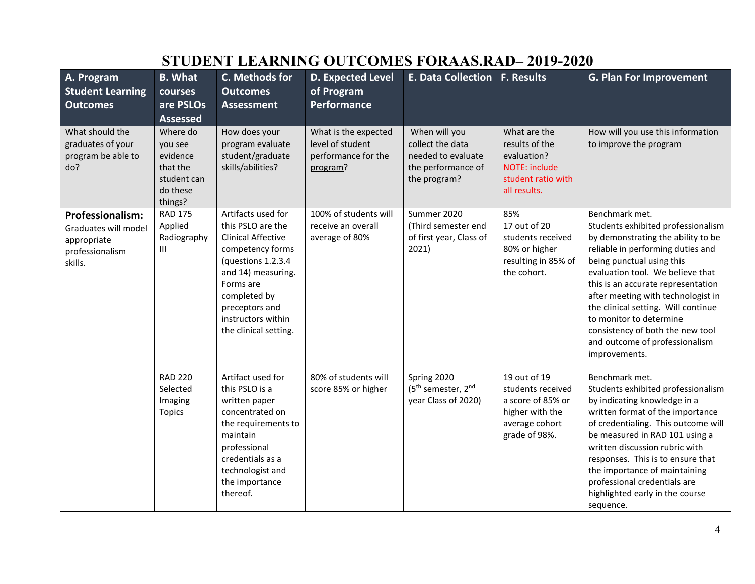| A. Program<br><b>Student Learning</b><br><b>Outcomes</b>                                     | <b>B.</b> What<br>courses<br>are PSLOs<br><b>Assessed</b>                         | C. Methods for<br><b>Outcomes</b><br><b>Assessment</b>                                                                                                                                                                              | <b>D. Expected Level</b><br>of Program<br>Performance                       | <b>E. Data Collection F. Results</b>                                                          |                                                                                                              | <b>G. Plan For Improvement</b>                                                                                                                                                                                                                                                                                                                                                                                                        |
|----------------------------------------------------------------------------------------------|-----------------------------------------------------------------------------------|-------------------------------------------------------------------------------------------------------------------------------------------------------------------------------------------------------------------------------------|-----------------------------------------------------------------------------|-----------------------------------------------------------------------------------------------|--------------------------------------------------------------------------------------------------------------|---------------------------------------------------------------------------------------------------------------------------------------------------------------------------------------------------------------------------------------------------------------------------------------------------------------------------------------------------------------------------------------------------------------------------------------|
| What should the<br>graduates of your<br>program be able to<br>do?                            | Where do<br>you see<br>evidence<br>that the<br>student can<br>do these<br>things? | How does your<br>program evaluate<br>student/graduate<br>skills/abilities?                                                                                                                                                          | What is the expected<br>level of student<br>performance for the<br>program? | When will you<br>collect the data<br>needed to evaluate<br>the performance of<br>the program? | What are the<br>results of the<br>evaluation?<br><b>NOTE: include</b><br>student ratio with<br>all results.  | How will you use this information<br>to improve the program                                                                                                                                                                                                                                                                                                                                                                           |
| <b>Professionalism:</b><br>Graduates will model<br>appropriate<br>professionalism<br>skills. | <b>RAD 175</b><br>Applied<br>Radiography<br>Ш                                     | Artifacts used for<br>this PSLO are the<br><b>Clinical Affective</b><br>competency forms<br>(questions 1.2.3.4)<br>and 14) measuring.<br>Forms are<br>completed by<br>preceptors and<br>instructors within<br>the clinical setting. | 100% of students will<br>receive an overall<br>average of 80%               | Summer 2020<br>(Third semester end<br>of first year, Class of<br>2021)                        | 85%<br>17 out of 20<br>students received<br>80% or higher<br>resulting in 85% of<br>the cohort.              | Benchmark met.<br>Students exhibited professionalism<br>by demonstrating the ability to be<br>reliable in performing duties and<br>being punctual using this<br>evaluation tool. We believe that<br>this is an accurate representation<br>after meeting with technologist in<br>the clinical setting. Will continue<br>to monitor to determine<br>consistency of both the new tool<br>and outcome of professionalism<br>improvements. |
|                                                                                              | <b>RAD 220</b><br>Selected<br>Imaging<br><b>Topics</b>                            | Artifact used for<br>this PSLO is a<br>written paper<br>concentrated on<br>the requirements to<br>maintain<br>professional<br>credentials as a<br>technologist and<br>the importance<br>thereof.                                    | 80% of students will<br>score 85% or higher                                 | Spring 2020<br>(5 <sup>th</sup> semester, 2 <sup>nd</sup><br>year Class of 2020)              | 19 out of 19<br>students received<br>a score of 85% or<br>higher with the<br>average cohort<br>grade of 98%. | Benchmark met.<br>Students exhibited professionalism<br>by indicating knowledge in a<br>written format of the importance<br>of credentialing. This outcome will<br>be measured in RAD 101 using a<br>written discussion rubric with<br>responses. This is to ensure that<br>the importance of maintaining<br>professional credentials are<br>highlighted early in the course<br>sequence.                                             |

# **STUDENT LEARNING OUTCOMES FORAAS.RAD– 2019-2020**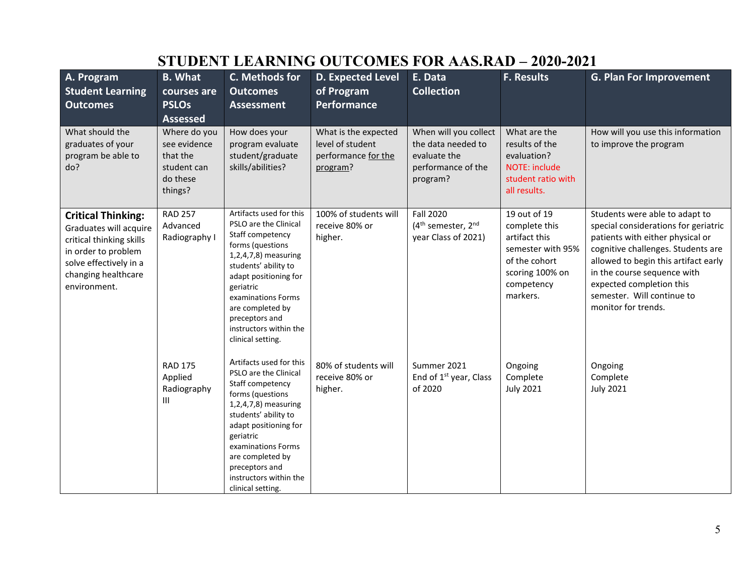| A. Program<br><b>Student Learning</b><br><b>Outcomes</b><br>What should the<br>graduates of your                                                                        | <b>B.</b> What<br>courses are<br><b>PSLOs</b><br><b>Assessed</b><br>Where do you<br>see evidence | C. Methods for<br><b>Outcomes</b><br><b>Assessment</b><br>How does your<br>program evaluate                                                                                                                                                                                               | <b>D. Expected Level</b><br>of Program<br>Performance<br>What is the expected<br>level of student | E. Data<br><b>Collection</b><br>When will you collect<br>the data needed to           | <b>F. Results</b><br>What are the<br>results of the                                                                               | <b>G. Plan For Improvement</b><br>How will you use this information<br>to improve the program                                                                                                                                                                                                            |
|-------------------------------------------------------------------------------------------------------------------------------------------------------------------------|--------------------------------------------------------------------------------------------------|-------------------------------------------------------------------------------------------------------------------------------------------------------------------------------------------------------------------------------------------------------------------------------------------|---------------------------------------------------------------------------------------------------|---------------------------------------------------------------------------------------|-----------------------------------------------------------------------------------------------------------------------------------|----------------------------------------------------------------------------------------------------------------------------------------------------------------------------------------------------------------------------------------------------------------------------------------------------------|
| program be able to<br>do?                                                                                                                                               | that the<br>student can<br>do these<br>things?                                                   | student/graduate<br>skills/abilities?                                                                                                                                                                                                                                                     | performance for the<br>program?                                                                   | evaluate the<br>performance of the<br>program?                                        | evaluation?<br><b>NOTE: include</b><br>student ratio with<br>all results.                                                         |                                                                                                                                                                                                                                                                                                          |
| <b>Critical Thinking:</b><br>Graduates will acquire<br>critical thinking skills<br>in order to problem<br>solve effectively in a<br>changing healthcare<br>environment. | <b>RAD 257</b><br>Advanced<br>Radiography I                                                      | Artifacts used for this<br>PSLO are the Clinical<br>Staff competency<br>forms (questions<br>1,2,4,7,8) measuring<br>students' ability to<br>adapt positioning for<br>geriatric<br>examinations Forms<br>are completed by<br>preceptors and<br>instructors within the<br>clinical setting. | 100% of students will<br>receive 80% or<br>higher.                                                | <b>Fall 2020</b><br>(4 <sup>th</sup> semester, 2 <sup>nd</sup><br>year Class of 2021) | 19 out of 19<br>complete this<br>artifact this<br>semester with 95%<br>of the cohort<br>scoring 100% on<br>competency<br>markers. | Students were able to adapt to<br>special considerations for geriatric<br>patients with either physical or<br>cognitive challenges. Students are<br>allowed to begin this artifact early<br>in the course sequence with<br>expected completion this<br>semester. Will continue to<br>monitor for trends. |
|                                                                                                                                                                         | <b>RAD 175</b><br>Applied<br>Radiography<br>$\mathbf{III}$                                       | Artifacts used for this<br>PSLO are the Clinical<br>Staff competency<br>forms (questions<br>1,2,4,7,8) measuring<br>students' ability to<br>adapt positioning for<br>geriatric<br>examinations Forms<br>are completed by<br>preceptors and<br>instructors within the<br>clinical setting. | 80% of students will<br>receive 80% or<br>higher.                                                 | Summer 2021<br>End of 1 <sup>st</sup> year, Class<br>of 2020                          | Ongoing<br>Complete<br><b>July 2021</b>                                                                                           | Ongoing<br>Complete<br><b>July 2021</b>                                                                                                                                                                                                                                                                  |

# **STUDENT LEARNING OUTCOMES FOR AAS.RAD – 2020-2021**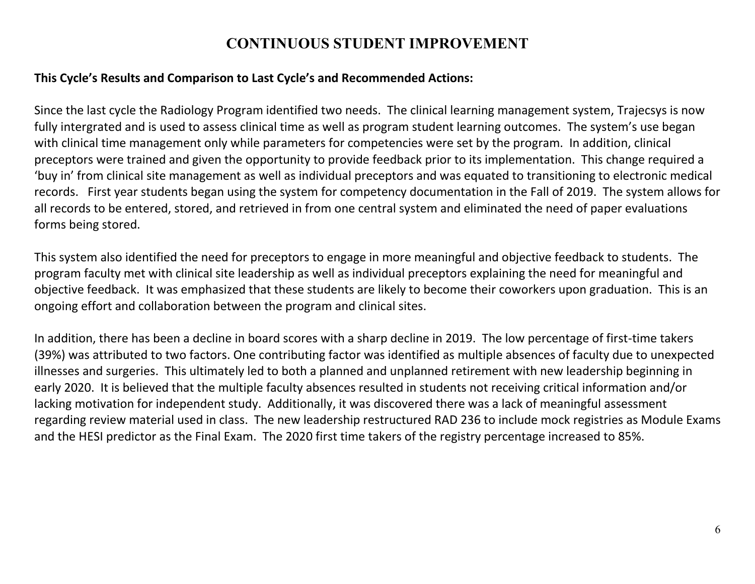## **CONTINUOUS STUDENT IMPROVEMENT**

### **This Cycle's Results and Comparison to Last Cycle's and Recommended Actions:**

Since the last cycle the Radiology Program identified two needs. The clinical learning management system, Trajecsys is now fully intergrated and is used to assess clinical time as well as program student learning outcomes. The system's use began with clinical time management only while parameters for competencies were set by the program. In addition, clinical preceptors were trained and given the opportunity to provide feedback prior to its implementation. This change required a 'buy in' from clinical site management as well as individual preceptors and was equated to transitioning to electronic medical records. First year students began using the system for competency documentation in the Fall of 2019. The system allows for all records to be entered, stored, and retrieved in from one central system and eliminated the need of paper evaluations forms being stored.

This system also identified the need for preceptors to engage in more meaningful and objective feedback to students. The program faculty met with clinical site leadership as well as individual preceptors explaining the need for meaningful and objective feedback. It was emphasized that these students are likely to become their coworkers upon graduation. This is an ongoing effort and collaboration between the program and clinical sites.

In addition, there has been a decline in board scores with a sharp decline in 2019. The low percentage of first-time takers (39%) was attributed to two factors. One contributing factor was identified as multiple absences of faculty due to unexpected illnesses and surgeries. This ultimately led to both a planned and unplanned retirement with new leadership beginning in early 2020. It is believed that the multiple faculty absences resulted in students not receiving critical information and/or lacking motivation for independent study. Additionally, it was discovered there was a lack of meaningful assessment regarding review material used in class. The new leadership restructured RAD 236 to include mock registries as Module Exams and the HESI predictor as the Final Exam. The 2020 first time takers of the registry percentage increased to 85%.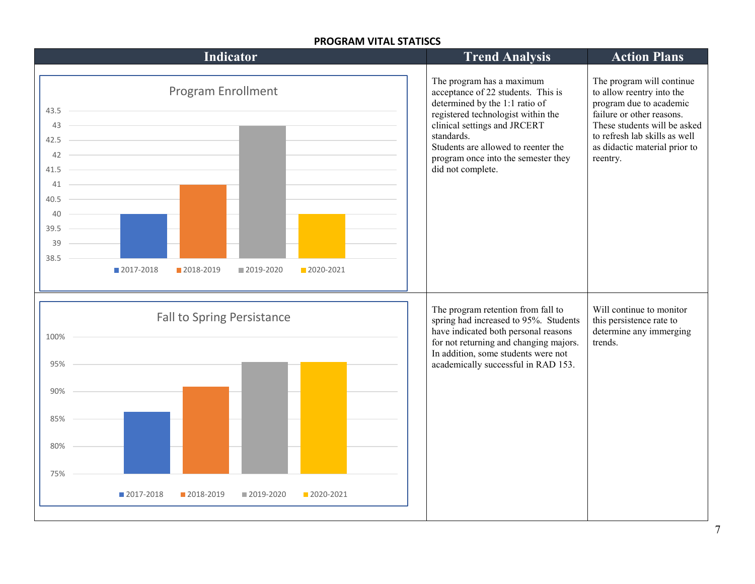#### **PROGRAM VITAL STATISCS**

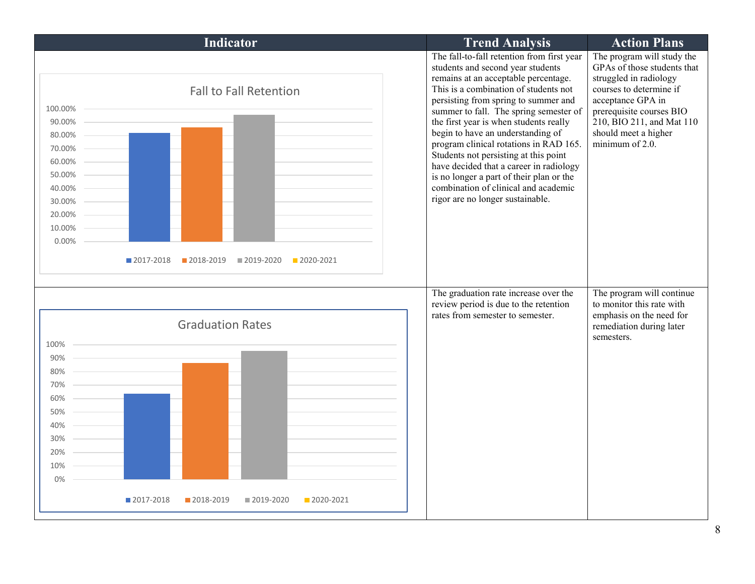| Indicator                                                                                                                                                                                       | <b>Trend Analysis</b>                                                                                                                                                                                                                                                                                                                                                                                                                                                                                                                                                                   | <b>Action Plans</b>                                                                                                                                                                                                                     |
|-------------------------------------------------------------------------------------------------------------------------------------------------------------------------------------------------|-----------------------------------------------------------------------------------------------------------------------------------------------------------------------------------------------------------------------------------------------------------------------------------------------------------------------------------------------------------------------------------------------------------------------------------------------------------------------------------------------------------------------------------------------------------------------------------------|-----------------------------------------------------------------------------------------------------------------------------------------------------------------------------------------------------------------------------------------|
| <b>Fall to Fall Retention</b><br>100.00%<br>90.00%<br>80.00%<br>70.00%<br>60.00%<br>50.00%<br>40.00%<br>30.00%<br>20.00%<br>10.00%<br>0.00%<br>2017-2018<br>2018-2019<br>2019-2020<br>2020-2021 | The fall-to-fall retention from first year<br>students and second year students<br>remains at an acceptable percentage.<br>This is a combination of students not<br>persisting from spring to summer and<br>summer to fall. The spring semester of<br>the first year is when students really<br>begin to have an understanding of<br>program clinical rotations in RAD 165.<br>Students not persisting at this point<br>have decided that a career in radiology<br>is no longer a part of their plan or the<br>combination of clinical and academic<br>rigor are no longer sustainable. | The program will study the<br>GPAs of those students that<br>struggled in radiology<br>courses to determine if<br>acceptance GPA in<br>prerequisite courses BIO<br>210, BIO 211, and Mat 110<br>should meet a higher<br>minimum of 2.0. |
| <b>Graduation Rates</b><br>100%                                                                                                                                                                 | The graduation rate increase over the<br>review period is due to the retention<br>rates from semester to semester.                                                                                                                                                                                                                                                                                                                                                                                                                                                                      | The program will continue<br>to monitor this rate with<br>emphasis on the need for<br>remediation during later<br>semesters.                                                                                                            |
| 90%                                                                                                                                                                                             |                                                                                                                                                                                                                                                                                                                                                                                                                                                                                                                                                                                         |                                                                                                                                                                                                                                         |
| 80%                                                                                                                                                                                             |                                                                                                                                                                                                                                                                                                                                                                                                                                                                                                                                                                                         |                                                                                                                                                                                                                                         |
| 70%                                                                                                                                                                                             |                                                                                                                                                                                                                                                                                                                                                                                                                                                                                                                                                                                         |                                                                                                                                                                                                                                         |
| 60%                                                                                                                                                                                             |                                                                                                                                                                                                                                                                                                                                                                                                                                                                                                                                                                                         |                                                                                                                                                                                                                                         |
| 50%                                                                                                                                                                                             |                                                                                                                                                                                                                                                                                                                                                                                                                                                                                                                                                                                         |                                                                                                                                                                                                                                         |
| 40%                                                                                                                                                                                             |                                                                                                                                                                                                                                                                                                                                                                                                                                                                                                                                                                                         |                                                                                                                                                                                                                                         |
| 30%                                                                                                                                                                                             |                                                                                                                                                                                                                                                                                                                                                                                                                                                                                                                                                                                         |                                                                                                                                                                                                                                         |
| 20%<br>10%                                                                                                                                                                                      |                                                                                                                                                                                                                                                                                                                                                                                                                                                                                                                                                                                         |                                                                                                                                                                                                                                         |
| 0%                                                                                                                                                                                              |                                                                                                                                                                                                                                                                                                                                                                                                                                                                                                                                                                                         |                                                                                                                                                                                                                                         |
| ■ 2017-2018<br>2018-2019<br>■ 2019-2020<br>2020-2021                                                                                                                                            |                                                                                                                                                                                                                                                                                                                                                                                                                                                                                                                                                                                         |                                                                                                                                                                                                                                         |